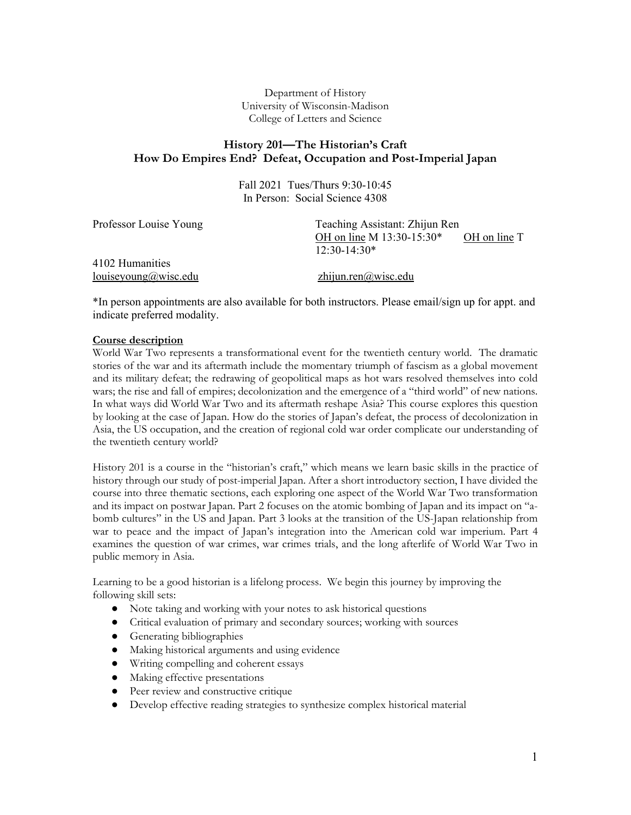Department of History University of Wisconsin-Madison College of Letters and Science

# **History 201—The Historian's Craft How Do Empires End? Defeat, Occupation and Post-Imperial Japan**

Fall 2021 Tues/Thurs 9:30-10:45 In Person: Social Science 4308

| Professor Louise Young | Teaching Assistant: Zhijun Ren            |  |  |
|------------------------|-------------------------------------------|--|--|
|                        | OH on line M 13:30-15:30*<br>OH on line T |  |  |
|                        | $12:30-14:30*$                            |  |  |
| 4102 Humanities        |                                           |  |  |
| louiseyoung@wise.edu   | zhijun.ren@wisc.edu                       |  |  |

\*In person appointments are also available for both instructors. Please email/sign up for appt. and indicate preferred modality.

### **Course description**

World War Two represents a transformational event for the twentieth century world. The dramatic stories of the war and its aftermath include the momentary triumph of fascism as a global movement and its military defeat; the redrawing of geopolitical maps as hot wars resolved themselves into cold wars; the rise and fall of empires; decolonization and the emergence of a "third world" of new nations. In what ways did World War Two and its aftermath reshape Asia? This course explores this question by looking at the case of Japan. How do the stories of Japan's defeat, the process of decolonization in Asia, the US occupation, and the creation of regional cold war order complicate our understanding of the twentieth century world?

History 201 is a course in the "historian's craft," which means we learn basic skills in the practice of history through our study of post-imperial Japan. After a short introductory section, I have divided the course into three thematic sections, each exploring one aspect of the World War Two transformation and its impact on postwar Japan. Part 2 focuses on the atomic bombing of Japan and its impact on "abomb cultures" in the US and Japan. Part 3 looks at the transition of the US-Japan relationship from war to peace and the impact of Japan's integration into the American cold war imperium. Part 4 examines the question of war crimes, war crimes trials, and the long afterlife of World War Two in public memory in Asia.

Learning to be a good historian is a lifelong process. We begin this journey by improving the following skill sets:

- Note taking and working with your notes to ask historical questions
- Critical evaluation of primary and secondary sources; working with sources
- Generating bibliographies
- Making historical arguments and using evidence
- Writing compelling and coherent essays
- Making effective presentations
- Peer review and constructive critique
- Develop effective reading strategies to synthesize complex historical material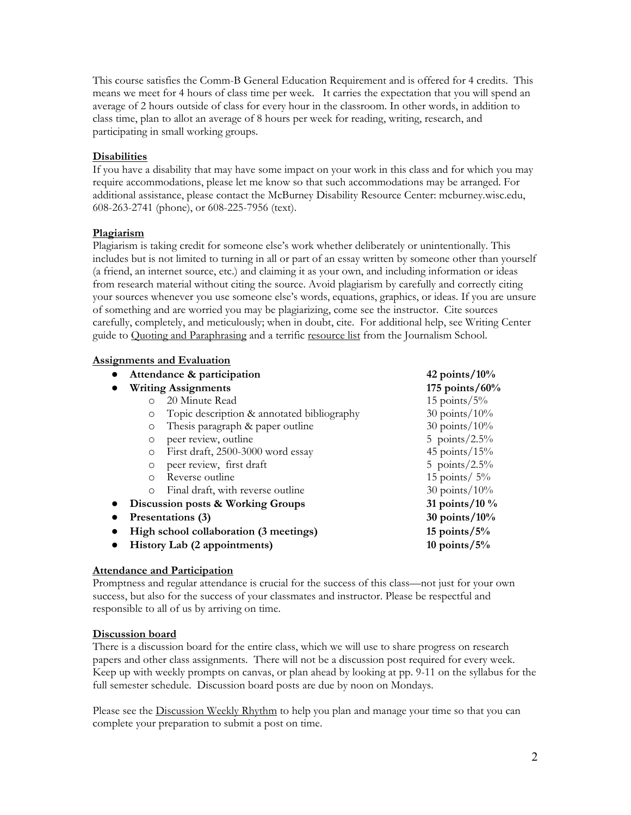This course satisfies the Comm-B General Education Requirement and is offered for 4 credits. This means we meet for 4 hours of class time per week. It carries the expectation that you will spend an average of 2 hours outside of class for every hour in the classroom. In other words, in addition to class time, plan to allot an average of 8 hours per week for reading, writing, research, and participating in small working groups.

### **Disabilities**

If you have a disability that may have some impact on your work in this class and for which you may require accommodations, please let me know so that such accommodations may be arranged. For additional assistance, please contact the McBurney Disability Resource Center: mcburney.wisc.edu, 608-263-2741 (phone), or 608-225-7956 (text).

### **Plagiarism**

Plagiarism is taking credit for someone else's work whether deliberately or unintentionally. This includes but is not limited to turning in all or part of an essay written by someone other than yourself (a friend, an internet source, etc.) and claiming it as your own, and including information or ideas from research material without citing the source. Avoid plagiarism by carefully and correctly citing your sources whenever you use someone else's words, equations, graphics, or ideas. If you are unsure of something and are worried you may be plagiarizing, come see the instructor. Cite sources carefully, completely, and meticulously; when in doubt, cite. For additional help, see Writing Center guide to Quoting and Paraphrasing and a terrific resource list from the Journalism School.

### **Assignments and Evaluation**

| Attendance & participation             |                                            | 42 points/ $10\%$   |
|----------------------------------------|--------------------------------------------|---------------------|
| <b>Writing Assignments</b>             |                                            | 175 points/ $60%$   |
| $\bigcirc$                             | 20 Minute Read                             | $15$ points/ $5\%$  |
| $\circ$                                | Topic description & annotated bibliography | $30$ points/ $10\%$ |
| $\circ$                                | Thesis paragraph & paper outline           | $30$ points/ $10\%$ |
| $\circ$                                | peer review, outline                       | 5 points/ $2.5\%$   |
| $\Omega$                               | First draft, 2500-3000 word essay          | 45 points/ $15%$    |
| $\circ$                                | peer review, first draft                   | 5 points/ $2.5\%$   |
| $\Omega$                               | Reverse outline                            | 15 points/ $5\%$    |
| $\Omega$                               | Final draft, with reverse outline          | $30$ points/ $10\%$ |
| Discussion posts & Working Groups      |                                            | 31 points/10 $\%$   |
| Presentations (3)                      |                                            | $30$ points/ $10\%$ |
| High school collaboration (3 meetings) |                                            | 15 points/ $5\%$    |
| History Lab (2 appointments)           |                                            | 10 points/ $5\%$    |

# **Attendance and Participation**

Promptness and regular attendance is crucial for the success of this class—not just for your own success, but also for the success of your classmates and instructor. Please be respectful and responsible to all of us by arriving on time.

### **Discussion board**

There is a discussion board for the entire class, which we will use to share progress on research papers and other class assignments. There will not be a discussion post required for every week. Keep up with weekly prompts on canvas, or plan ahead by looking at pp. 9-11 on the syllabus for the full semester schedule. Discussion board posts are due by noon on Mondays.

Please see the Discussion Weekly Rhythm to help you plan and manage your time so that you can complete your preparation to submit a post on time.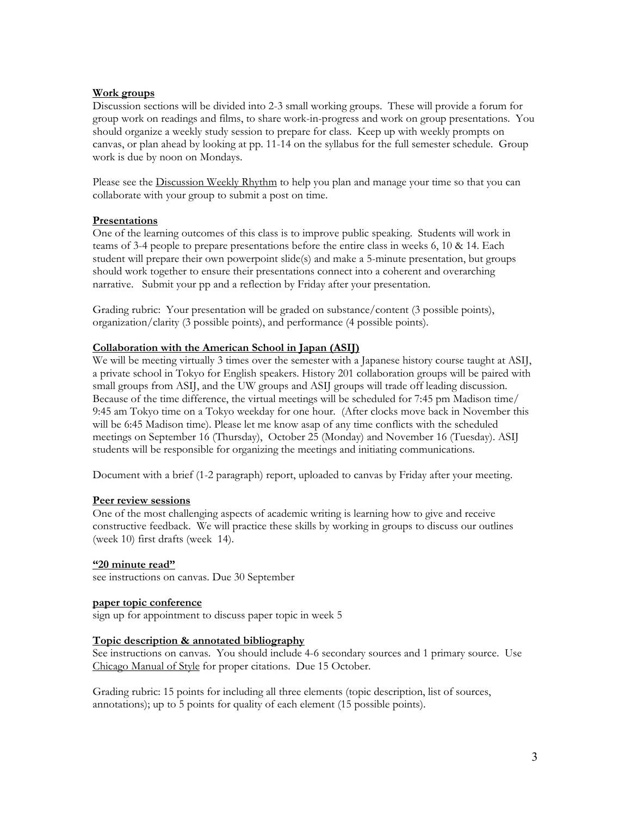### **Work groups**

Discussion sections will be divided into 2-3 small working groups. These will provide a forum for group work on readings and films, to share work-in-progress and work on group presentations. You should organize a weekly study session to prepare for class. Keep up with weekly prompts on canvas, or plan ahead by looking at pp. 11-14 on the syllabus for the full semester schedule. Group work is due by noon on Mondays.

Please see the Discussion Weekly Rhythm to help you plan and manage your time so that you can collaborate with your group to submit a post on time.

### **Presentations**

One of the learning outcomes of this class is to improve public speaking. Students will work in teams of 3-4 people to prepare presentations before the entire class in weeks 6, 10 & 14. Each student will prepare their own powerpoint slide(s) and make a 5-minute presentation, but groups should work together to ensure their presentations connect into a coherent and overarching narrative. Submit your pp and a reflection by Friday after your presentation.

Grading rubric: Your presentation will be graded on substance/content (3 possible points), organization/clarity (3 possible points), and performance (4 possible points).

### **Collaboration with the American School in Japan (ASIJ)**

We will be meeting virtually 3 times over the semester with a Japanese history course taught at ASIJ, a private school in Tokyo for English speakers. History 201 collaboration groups will be paired with small groups from ASIJ, and the UW groups and ASIJ groups will trade off leading discussion. Because of the time difference, the virtual meetings will be scheduled for 7:45 pm Madison time/ 9:45 am Tokyo time on a Tokyo weekday for one hour. (After clocks move back in November this will be 6:45 Madison time). Please let me know asap of any time conflicts with the scheduled meetings on September 16 (Thursday), October 25 (Monday) and November 16 (Tuesday). ASIJ students will be responsible for organizing the meetings and initiating communications.

Document with a brief (1-2 paragraph) report, uploaded to canvas by Friday after your meeting.

#### **Peer review sessions**

One of the most challenging aspects of academic writing is learning how to give and receive constructive feedback. We will practice these skills by working in groups to discuss our outlines (week 10) first drafts (week 14).

#### **"20 minute read"**

see instructions on canvas. Due 30 September

#### **paper topic conference**

sign up for appointment to discuss paper topic in week 5

#### **Topic description & annotated bibliography**

See instructions on canvas. You should include 4-6 secondary sources and 1 primary source. Use Chicago Manual of Style for proper citations. Due 15 October.

Grading rubric: 15 points for including all three elements (topic description, list of sources, annotations); up to 5 points for quality of each element (15 possible points).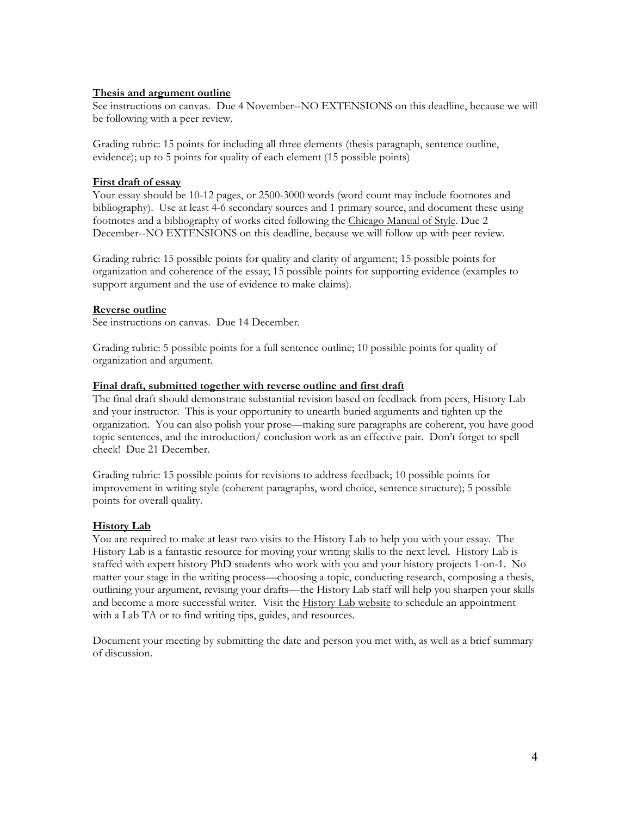#### **Thesis and argument outline**

See instructions on canvas. Due 4 November--NO EXTENSIONS on this deadline, because we will be following with a peer review.

Grading rubric: 15 points for including all three elements (thesis paragraph, sentence outline, evidence); up to 5 points for quality of each element (15 possible points)

### **First draft of essay**

Your essay should be 10-12 pages, or 2500-3000 words (word count may include footnotes and bibliography). Use at least 4-6 secondary sources and 1 primary source, and document these using footnotes and a bibliography of works cited following the Chicago Manual of Style. Due 2 December--NO EXTENSIONS on this deadline, because we will follow up with peer review.

Grading rubric: 15 possible points for quality and clarity of argument; 15 possible points for organization and coherence of the essay; 15 possible points for supporting evidence (examples to support argument and the use of evidence to make claims).

### **Reverse outline**

See instructions on canvas. Due 14 December.

Grading rubric: 5 possible points for a full sentence outline; 10 possible points for quality of organization and argument.

### **Final draft, submitted together with reverse outline and first draft**

The final draft should demonstrate substantial revision based on feedback from peers, History Lab and your instructor. This is your opportunity to unearth buried arguments and tighten up the organization. You can also polish your prose—making sure paragraphs are coherent, you have good topic sentences, and the introduction/ conclusion work as an effective pair. Don't forget to spell check! Due 21 December.

Grading rubric: 15 possible points for revisions to address feedback; 10 possible points for improvement in writing style (coherent paragraphs, word choice, sentence structure); 5 possible points for overall quality.

### **History Lab**

You are required to make at least two visits to the History Lab to help you with your essay. The History Lab is a fantastic resource for moving your writing skills to the next level. History Lab is staffed with expert history PhD students who work with you and your history projects 1-on-1. No matter your stage in the writing process—choosing a topic, conducting research, composing a thesis, outlining your argument, revising your drafts—the History Lab staff will help you sharpen your skills and become a more successful writer. Visit the History Lab website to schedule an appointment with a Lab TA or to find writing tips, guides, and resources.

Document your meeting by submitting the date and person you met with, as well as a brief summary of discussion.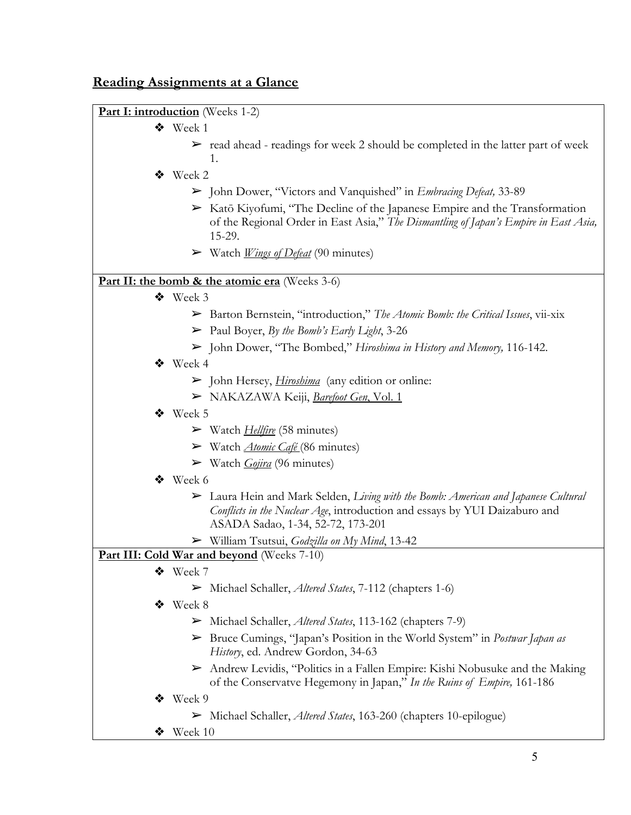# **Reading Assignments at a Glance**



- ❖ Week 1
	- $\triangleright$  read ahead readings for week 2 should be completed in the latter part of week 1.
- ❖ Week 2
	- ➢ John Dower, "Victors and Vanquished" in *Embracing Defeat,* 33-89
	- ➢ Katō Kiyofumi, "The Decline of the Japanese Empire and the Transformation of the Regional Order in East Asia," *The Dismantling of Japan's Empire in East Asia,*  15-29.
	- ➢ Watch *Wings of Defeat* (90 minutes)

# **Part II: the bomb & the atomic era** (Weeks 3-6)

- ❖ Week 3
	- ➢ Barton Bernstein, "introduction," *The Atomic Bomb: the Critical Issues*, vii-xix
	- ➢ Paul Boyer, *By the Bomb's Early Light*, 3-26
	- ➢ John Dower, "The Bombed," *Hiroshima in History and Memory,* 116-142.
- ❖ Week 4
	- ➢ John Hersey, *Hiroshima* (any edition or online:
	- ➢ NAKAZAWA Keiji, *Barefoot Gen*, Vol. 1

# ❖ Week 5

- ➢ Watch *Hellfire* (58 minutes)
- ➢ Watch *Atomic Café* (86 minutes)
- ➢ Watch *Gojira* (96 minutes)
- ❖ Week 6
	- ➢ Laura Hein and Mark Selden, *Living with the Bomb: American and Japanese Cultural Conflicts in the Nuclear Age*, introduction and essays by YUI Daizaburo and ASADA Sadao, 1-34, 52-72, 173-201
	- ➢ William Tsutsui, *Godzilla on My Mind*, 13-42

# Part III: Cold War and beyond (Weeks 7-10)

- ❖ Week 7
	- ➢ Michael Schaller, *Altered States*, 7-112 (chapters 1-6)
- ❖ Week 8
	- ➢ Michael Schaller, *Altered States*, 113-162 (chapters 7-9)
	- ➢ Bruce Cumings, "Japan's Position in the World System" in *Postwar Japan as History*, ed. Andrew Gordon, 34-63
	- $\triangleright$  Andrew Levidis, "Politics in a Fallen Empire: Kishi Nobusuke and the Making of the Conservatve Hegemony in Japan," *In the Ruins of Empire,* 161-186
- ❖ Week 9
	- ➢ Michael Schaller, *Altered States*, 163-260 (chapters 10-epilogue)
- $\bullet$  Week 10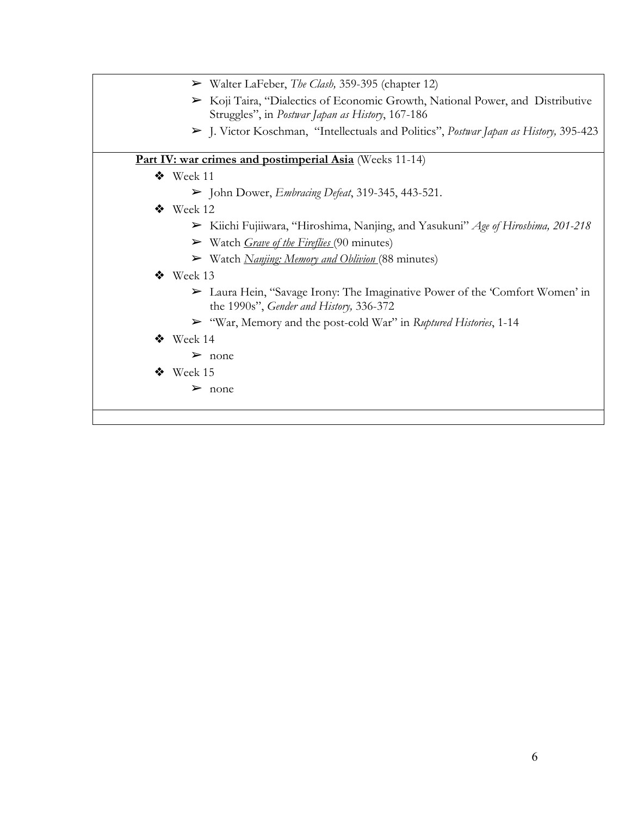| $\triangleright$ Walter LaFeber, <i>The Clash</i> , 359-395 (chapter 12)                                                                          |
|---------------------------------------------------------------------------------------------------------------------------------------------------|
| $\triangleright$ Koji Taira, "Dialectics of Economic Growth, National Power, and Distributive<br>Struggles", in Postwar Japan as History, 167-186 |
| > J. Victor Koschman, "Intellectuals and Politics", Postwar Japan as History, 395-423                                                             |
| Part IV: war crimes and postimperial Asia (Weeks 11-14)                                                                                           |
| ◆ Week 11                                                                                                                                         |
| $\triangleright$ John Dower, <i>Embracing Defeat</i> , 319-345, 443-521.                                                                          |
| $\bullet$ Week 12                                                                                                                                 |
| > Kiichi Fujiiwara, "Hiroshima, Nanjing, and Yasukuni" Age of Hiroshima, 201-218                                                                  |
| $\triangleright$ Watch <i>Grave of the Fireflies</i> (90 minutes)                                                                                 |
| $\triangleright$ Watch <i>Nanjing: Memory and Oblivion</i> (88 minutes)                                                                           |
| $\bullet$ Week 13                                                                                                                                 |
| ► Laura Hein, "Savage Irony: The Imaginative Power of the 'Comfort Women' in<br>the 1990s", Gender and History, 336-372                           |
| ► "War, Memory and the post-cold War" in Ruptured Histories, 1-14                                                                                 |
| $\bullet$ Week 14                                                                                                                                 |
| $\triangleright$ none                                                                                                                             |
| $\bullet$ Week 15                                                                                                                                 |
| $\triangleright$ none                                                                                                                             |
|                                                                                                                                                   |
|                                                                                                                                                   |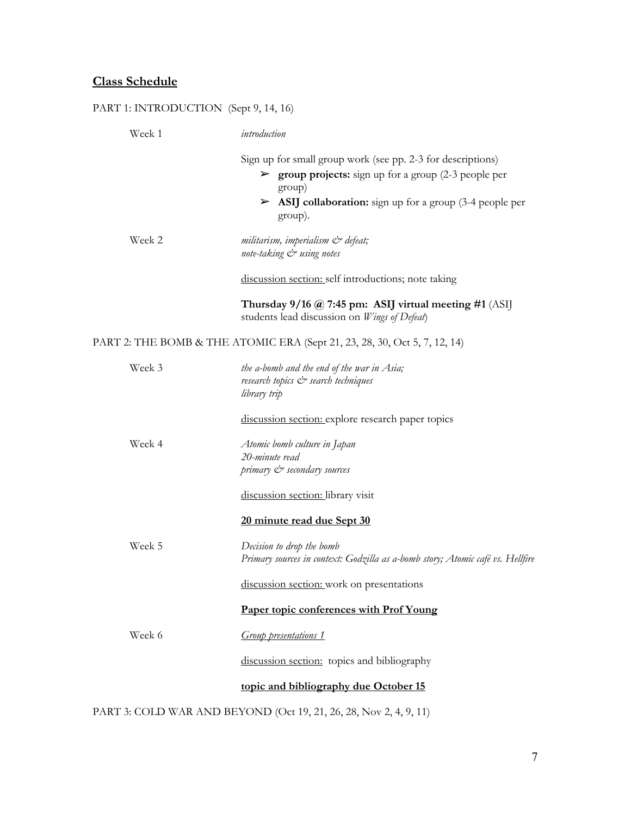### **Class Schedule**

# PART 1: INTRODUCTION (Sept 9, 14, 16) Week 1 *introduction*  Sign up for small group work (see pp. 2-3 for descriptions) ➢ **group projects:** sign up for a group (2-3 people per group) ➢ **ASIJ collaboration:** sign up for a group (3-4 people per group). Week 2 *militarism, imperialism & defeat; note-taking & using notes*  discussion section: self introductions; note taking **Thursday 9/16 @ 7:45 pm: ASIJ virtual meeting #1** (ASIJ students lead discussion on *Wings of Defeat*) PART 2: THE BOMB & THE ATOMIC ERA (Sept 21, 23, 28, 30, Oct 5, 7, 12, 14) Week 3 *the a-bomb and the end of the war in Asia; research topics & search techniques library trip*  discussion section: explore research paper topics Week 4 *Atomic bomb culture in Japan 20-minute read primary & secondary sources*  discussion section: library visit **20 minute read due Sept 30**  Week 5 *Decision to drop the bomb Primary sources in context: Godzilla as a-bomb story; Atomic café vs. Hellfire*  discussion section: work on presentations **Paper topic conferences with Prof Young**  Week 6 *Group presentations 1*  discussion section: topics and bibliography **topic and bibliography due October 15**

PART 3: COLD WAR AND BEYOND (Oct 19, 21, 26, 28, Nov 2, 4, 9, 11)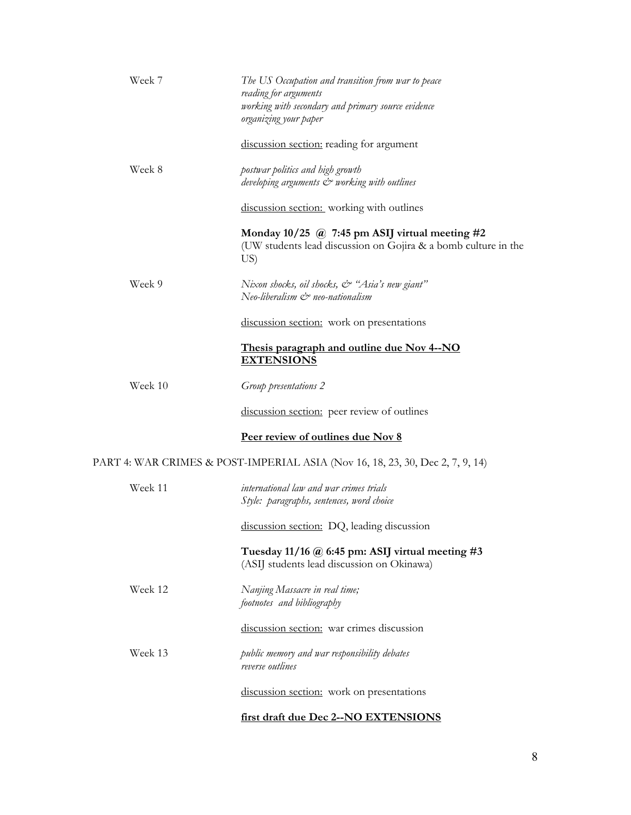| Week 7  | The US Occupation and transition from war to peace<br>reading for arguments<br>working with secondary and primary source evidence<br>organizing your paper |
|---------|------------------------------------------------------------------------------------------------------------------------------------------------------------|
|         | discussion section: reading for argument                                                                                                                   |
| Week 8  | postwar politics and high growth<br>developing arguments & working with outlines                                                                           |
|         | discussion section: working with outlines                                                                                                                  |
|         | Monday $10/25$ @ 7:45 pm ASIJ virtual meeting #2<br>(UW students lead discussion on Gojira & a bomb culture in the<br>US)                                  |
| Week 9  | Nixon shocks, oil shocks, & "Asia's new giant"<br>Neo-liberalism & neo-nationalism                                                                         |
|         | discussion section: work on presentations                                                                                                                  |
|         | Thesis paragraph and outline due Nov 4--NO<br><b>EXTENSIONS</b>                                                                                            |
| Week 10 | Group presentations 2                                                                                                                                      |
|         | discussion section: peer review of outlines                                                                                                                |
|         | Peer review of outlines due Nov 8                                                                                                                          |
|         | PART 4: WAR CRIMES & POST-IMPERIAL ASIA (Nov 16, 18, 23, 30, Dec 2, 7, 9, 14)                                                                              |
| Week 11 | international law and war crimes trials<br>Style: paragraphs, sentences, word choice                                                                       |
|         | discussion section: DQ, leading discussion                                                                                                                 |
|         | Tuesday 11/16 $\omega$ 6:45 pm: ASIJ virtual meeting #3<br>(ASIJ students lead discussion on Okinawa)                                                      |
| Week 12 | Nanjing Massacre in real time;<br>footnotes and bibliography                                                                                               |
|         | discussion section: war crimes discussion                                                                                                                  |
| Week 13 | public memory and war responsibility debates<br>reverse outlines                                                                                           |
|         | discussion section: work on presentations                                                                                                                  |
|         | first draft due Dec 2--NO EXTENSIONS                                                                                                                       |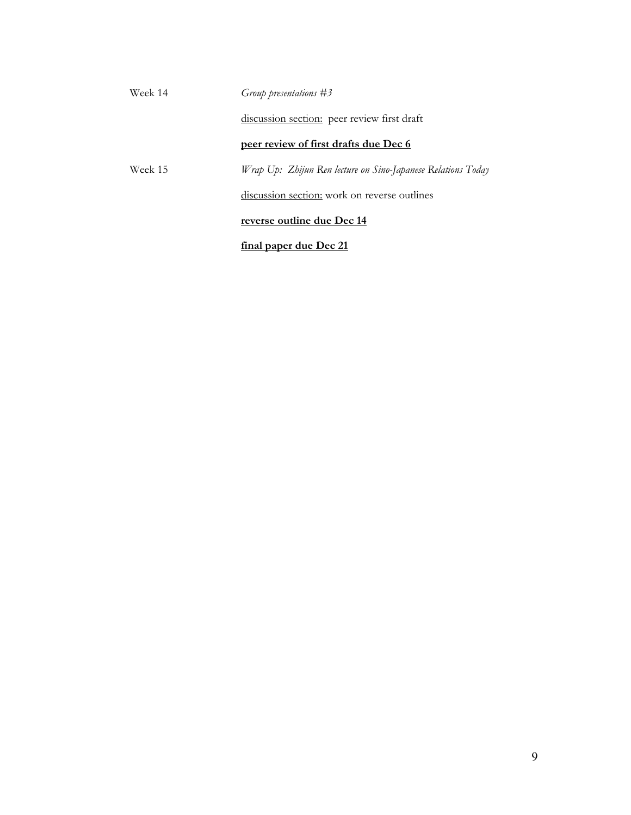| Week 14 | Group presentations $#3$                                     |
|---------|--------------------------------------------------------------|
|         | discussion section: peer review first draft                  |
|         | peer review of first drafts due Dec 6                        |
| Week 15 | Wrap Up: Zhijun Ren lecture on Sino-Japanese Relations Today |
|         | discussion section: work on reverse outlines                 |
|         | reverse outline due Dec 14                                   |
|         | <u>final paper due Dec 21</u>                                |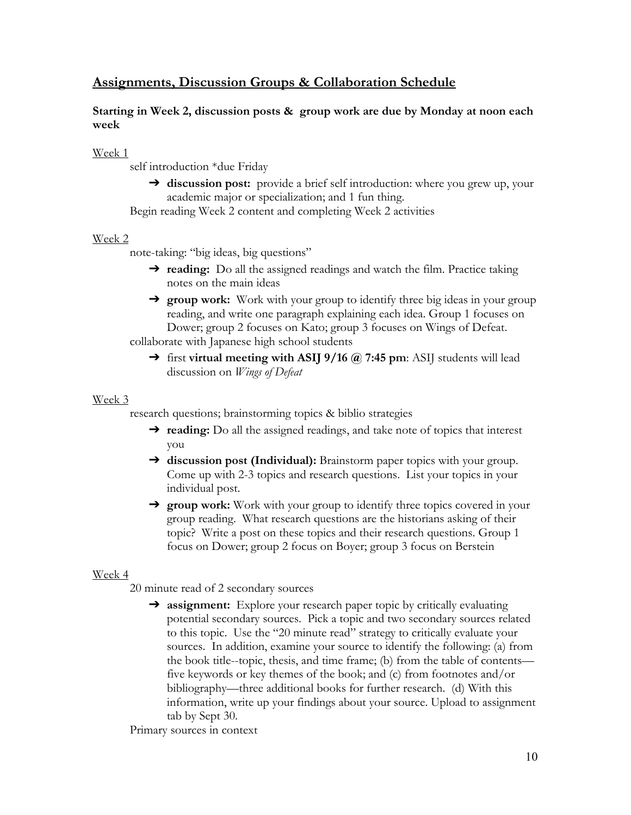# **Assignments, Discussion Groups & Collaboration Schedule**

# **Starting in Week 2, discussion posts & group work are due by Monday at noon each week**

Week 1

self introduction \*due Friday

➔ **discussion post:** provide a brief self introduction: where you grew up, your academic major or specialization; and 1 fun thing.

Begin reading Week 2 content and completing Week 2 activities

# Week 2

note-taking: "big ideas, big questions"

- ➔ **reading:** Do all the assigned readings and watch the film. Practice taking notes on the main ideas
- ➔ **group work:** Work with your group to identify three big ideas in your group reading, and write one paragraph explaining each idea. Group 1 focuses on Dower; group 2 focuses on Kato; group 3 focuses on Wings of Defeat.

collaborate with Japanese high school students

➔ first **virtual meeting with ASIJ 9/16 @ 7:45 pm**: ASIJ students will lead discussion on *Wings of Defeat*

# Week 3

research questions; brainstorming topics & biblio strategies

- ➔ **reading:** Do all the assigned readings, and take note of topics that interest you
- ➔ **discussion post (Individual):** Brainstorm paper topics with your group. Come up with 2-3 topics and research questions. List your topics in your individual post.
- ➔ **group work:** Work with your group to identify three topics covered in your group reading. What research questions are the historians asking of their topic? Write a post on these topics and their research questions. Group 1 focus on Dower; group 2 focus on Boyer; group 3 focus on Berstein

# Week 4

20 minute read of 2 secondary sources

➔ **assignment:** Explore your research paper topic by critically evaluating potential secondary sources. Pick a topic and two secondary sources related to this topic. Use the "20 minute read" strategy to critically evaluate your sources. In addition, examine your source to identify the following: (a) from the book title--topic, thesis, and time frame; (b) from the table of contents five keywords or key themes of the book; and (c) from footnotes and/or bibliography—three additional books for further research. (d) With this information, write up your findings about your source. Upload to assignment tab by Sept 30.

Primary sources in context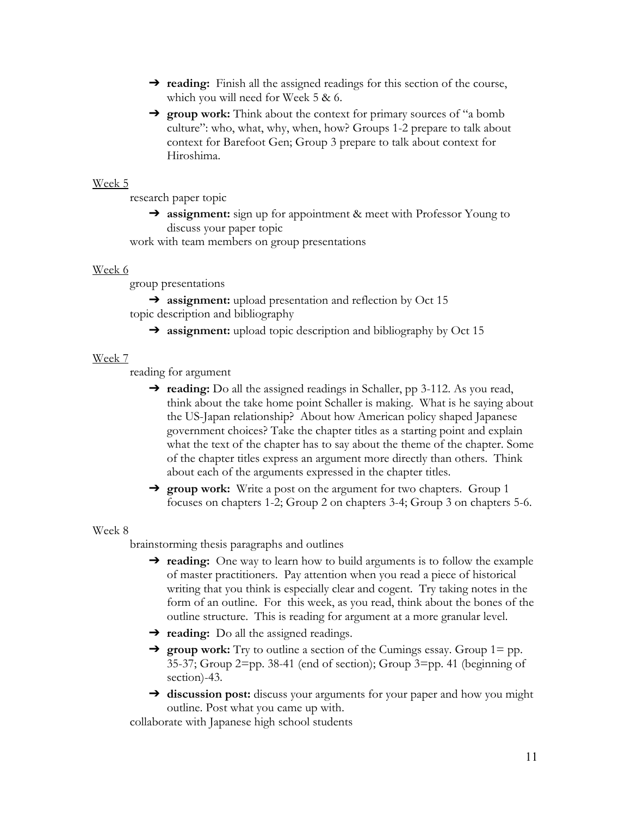- → **reading:** Finish all the assigned readings for this section of the course, which you will need for Week 5 & 6.
- ➔ **group work:** Think about the context for primary sources of "a bomb culture": who, what, why, when, how? Groups 1-2 prepare to talk about context for Barefoot Gen; Group 3 prepare to talk about context for Hiroshima.

### Week 5

research paper topic

➔ **assignment:** sign up for appointment & meet with Professor Young to discuss your paper topic

work with team members on group presentations

#### Week 6

group presentations

**→** assignment: upload presentation and reflection by Oct 15 topic description and bibliography

→ **assignment:** upload topic description and bibliography by Oct 15

#### Week 7

reading for argument

- ➔ **reading:** Do all the assigned readings in Schaller, pp 3-112. As you read, think about the take home point Schaller is making. What is he saying about the US-Japan relationship? About how American policy shaped Japanese government choices? Take the chapter titles as a starting point and explain what the text of the chapter has to say about the theme of the chapter. Some of the chapter titles express an argument more directly than others. Think about each of the arguments expressed in the chapter titles.
- → **group work:** Write a post on the argument for two chapters. Group 1 focuses on chapters 1-2; Group 2 on chapters 3-4; Group 3 on chapters 5-6.

#### Week 8

brainstorming thesis paragraphs and outlines

- **→ reading:** One way to learn how to build arguments is to follow the example of master practitioners. Pay attention when you read a piece of historical writing that you think is especially clear and cogent. Try taking notes in the form of an outline. For this week, as you read, think about the bones of the outline structure. This is reading for argument at a more granular level.
- ➔ **reading:** Do all the assigned readings.
- ➔ **group work:** Try to outline a section of the Cumings essay. Group 1= pp. 35-37; Group 2=pp. 38-41 (end of section); Group 3=pp. 41 (beginning of section)-43.
- ➔ **discussion post:** discuss your arguments for your paper and how you might outline. Post what you came up with.

collaborate with Japanese high school students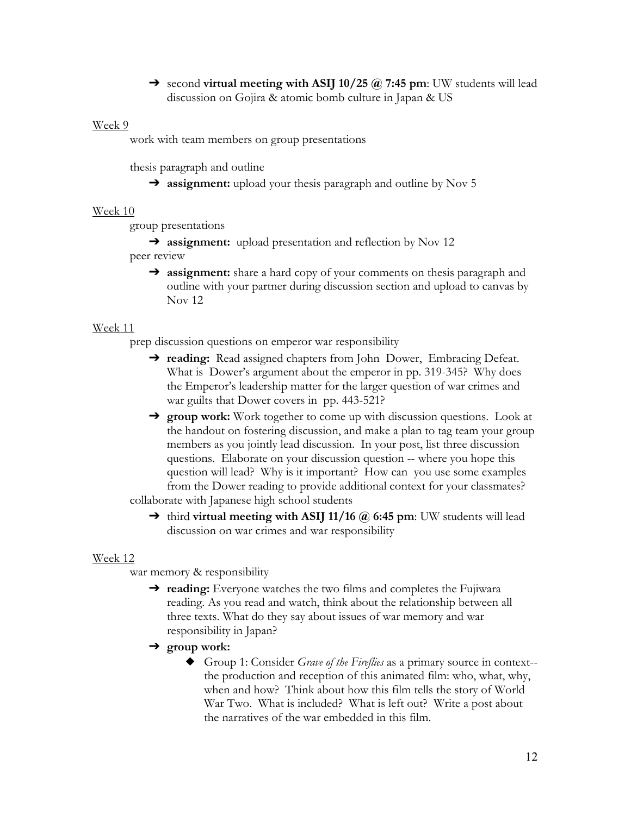➔ second **virtual meeting with ASIJ 10/25 @ 7:45 pm**: UW students will lead discussion on Gojira & atomic bomb culture in Japan & US

### Week 9

work with team members on group presentations

thesis paragraph and outline

➔ **assignment:** upload your thesis paragraph and outline by Nov 5

#### Week 10

group presentations

**→ assignment:** upload presentation and reflection by Nov 12

peer review

➔ **assignment:** share a hard copy of your comments on thesis paragraph and outline with your partner during discussion section and upload to canvas by Nov 12

### Week 11

prep discussion questions on emperor war responsibility

- ➔ **reading:** Read assigned chapters from John Dower, Embracing Defeat. What is Dower's argument about the emperor in pp. 319-345? Why does the Emperor's leadership matter for the larger question of war crimes and war guilts that Dower covers in pp. 443-521?
- ➔ **group work:** Work together to come up with discussion questions. Look at the handout on fostering discussion, and make a plan to tag team your group members as you jointly lead discussion. In your post, list three discussion questions. Elaborate on your discussion question -- where you hope this question will lead? Why is it important? How can you use some examples from the Dower reading to provide additional context for your classmates?

collaborate with Japanese high school students

➔ third **virtual meeting with ASIJ 11/16 @ 6:45 pm**: UW students will lead discussion on war crimes and war responsibility

#### Week 12

war memory & responsibility

- ➔ **reading:** Everyone watches the two films and completes the Fujiwara reading. As you read and watch, think about the relationship between all three texts. What do they say about issues of war memory and war responsibility in Japan?
- ➔ **group work:** 
	- ◆ Group 1: Consider *Grave of the Fireflies* as a primary source in context- the production and reception of this animated film: who, what, why, when and how? Think about how this film tells the story of World War Two. What is included? What is left out? Write a post about the narratives of the war embedded in this film.